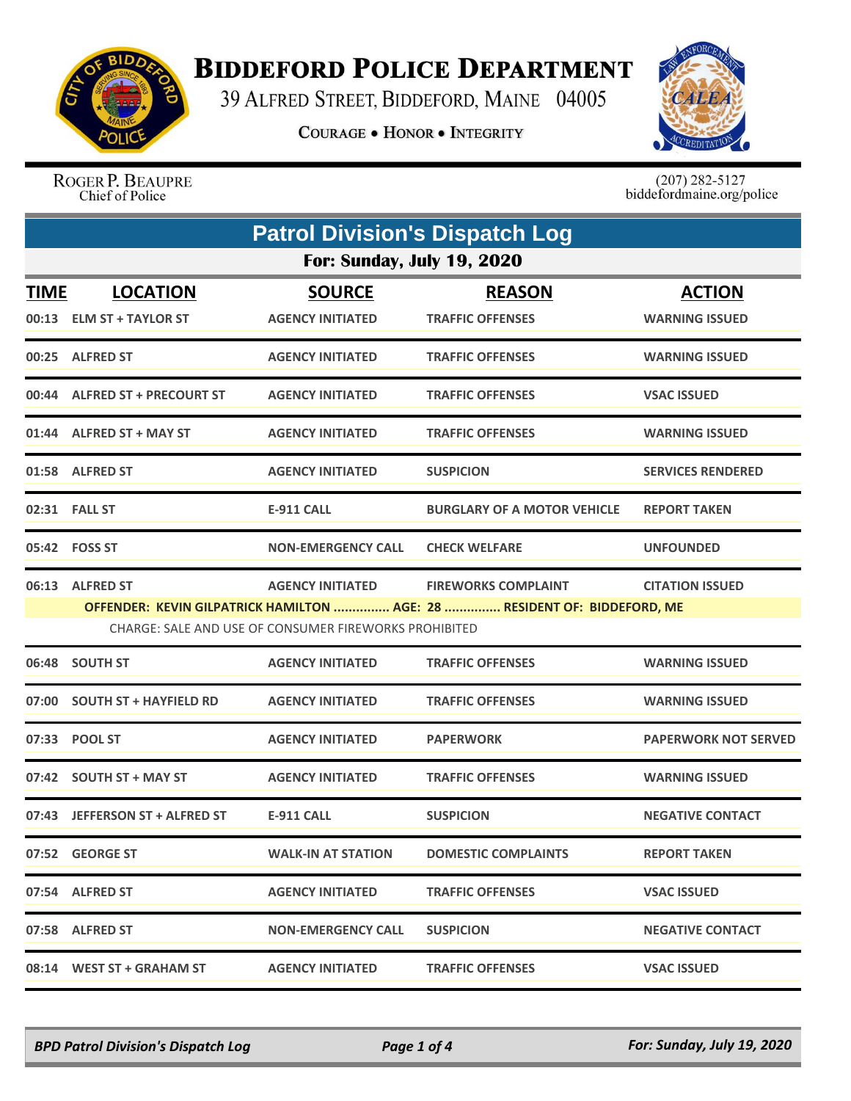

## **BIDDEFORD POLICE DEPARTMENT**

39 ALFRED STREET, BIDDEFORD, MAINE 04005

**COURAGE . HONOR . INTEGRITY** 



ROGER P. BEAUPRE Chief of Police

 $(207)$  282-5127<br>biddefordmaine.org/police

| <b>Patrol Division's Dispatch Log</b> |                                             |                                                       |                                                                          |                                        |  |  |
|---------------------------------------|---------------------------------------------|-------------------------------------------------------|--------------------------------------------------------------------------|----------------------------------------|--|--|
|                                       | <b>For: Sunday, July 19, 2020</b>           |                                                       |                                                                          |                                        |  |  |
| <b>TIME</b>                           | <b>LOCATION</b><br>00:13 ELM ST + TAYLOR ST | <b>SOURCE</b><br><b>AGENCY INITIATED</b>              | <b>REASON</b><br><b>TRAFFIC OFFENSES</b>                                 | <b>ACTION</b><br><b>WARNING ISSUED</b> |  |  |
|                                       | 00:25 ALFRED ST                             | <b>AGENCY INITIATED</b>                               | <b>TRAFFIC OFFENSES</b>                                                  | <b>WARNING ISSUED</b>                  |  |  |
|                                       | 00:44 ALFRED ST + PRECOURT ST               | <b>AGENCY INITIATED</b>                               | <b>TRAFFIC OFFENSES</b>                                                  | <b>VSAC ISSUED</b>                     |  |  |
|                                       | 01:44 ALFRED ST + MAY ST                    | <b>AGENCY INITIATED</b>                               | <b>TRAFFIC OFFENSES</b>                                                  | <b>WARNING ISSUED</b>                  |  |  |
|                                       | 01:58 ALFRED ST                             | <b>AGENCY INITIATED</b>                               | <b>SUSPICION</b>                                                         | <b>SERVICES RENDERED</b>               |  |  |
|                                       | 02:31 FALL ST                               | E-911 CALL                                            | <b>BURGLARY OF A MOTOR VEHICLE</b>                                       | <b>REPORT TAKEN</b>                    |  |  |
|                                       | 05:42 FOSS ST                               | <b>NON-EMERGENCY CALL</b>                             | <b>CHECK WELFARE</b>                                                     | <b>UNFOUNDED</b>                       |  |  |
|                                       | 06:13 ALFRED ST                             | <b>AGENCY INITIATED</b>                               | <b>FIREWORKS COMPLAINT</b>                                               | <b>CITATION ISSUED</b>                 |  |  |
|                                       |                                             | CHARGE: SALE AND USE OF CONSUMER FIREWORKS PROHIBITED | OFFENDER: KEVIN GILPATRICK HAMILTON  AGE: 28  RESIDENT OF: BIDDEFORD, ME |                                        |  |  |
|                                       | 06:48 SOUTH ST                              | <b>AGENCY INITIATED</b>                               | <b>TRAFFIC OFFENSES</b>                                                  | <b>WARNING ISSUED</b>                  |  |  |
|                                       | 07:00 SOUTH ST + HAYFIELD RD                | <b>AGENCY INITIATED</b>                               | <b>TRAFFIC OFFENSES</b>                                                  | <b>WARNING ISSUED</b>                  |  |  |
|                                       | 07:33 POOL ST                               | <b>AGENCY INITIATED</b>                               | <b>PAPERWORK</b>                                                         | <b>PAPERWORK NOT SERVED</b>            |  |  |
|                                       | 07:42 SOUTH ST + MAY ST                     | <b>AGENCY INITIATED</b>                               | <b>TRAFFIC OFFENSES</b>                                                  | <b>WARNING ISSUED</b>                  |  |  |
|                                       | 07:43 JEFFERSON ST + ALFRED ST              | <b>E-911 CALL</b>                                     | <b>SUSPICION</b>                                                         | <b>NEGATIVE CONTACT</b>                |  |  |
|                                       | 07:52 GEORGE ST                             | <b>WALK-IN AT STATION</b>                             | <b>DOMESTIC COMPLAINTS</b>                                               | <b>REPORT TAKEN</b>                    |  |  |
|                                       | 07:54 ALFRED ST                             | <b>AGENCY INITIATED</b>                               | <b>TRAFFIC OFFENSES</b>                                                  | <b>VSAC ISSUED</b>                     |  |  |
|                                       | 07:58 ALFRED ST                             | <b>NON-EMERGENCY CALL</b>                             | <b>SUSPICION</b>                                                         | <b>NEGATIVE CONTACT</b>                |  |  |
|                                       | 08:14 WEST ST + GRAHAM ST                   | <b>AGENCY INITIATED</b>                               | <b>TRAFFIC OFFENSES</b>                                                  | <b>VSAC ISSUED</b>                     |  |  |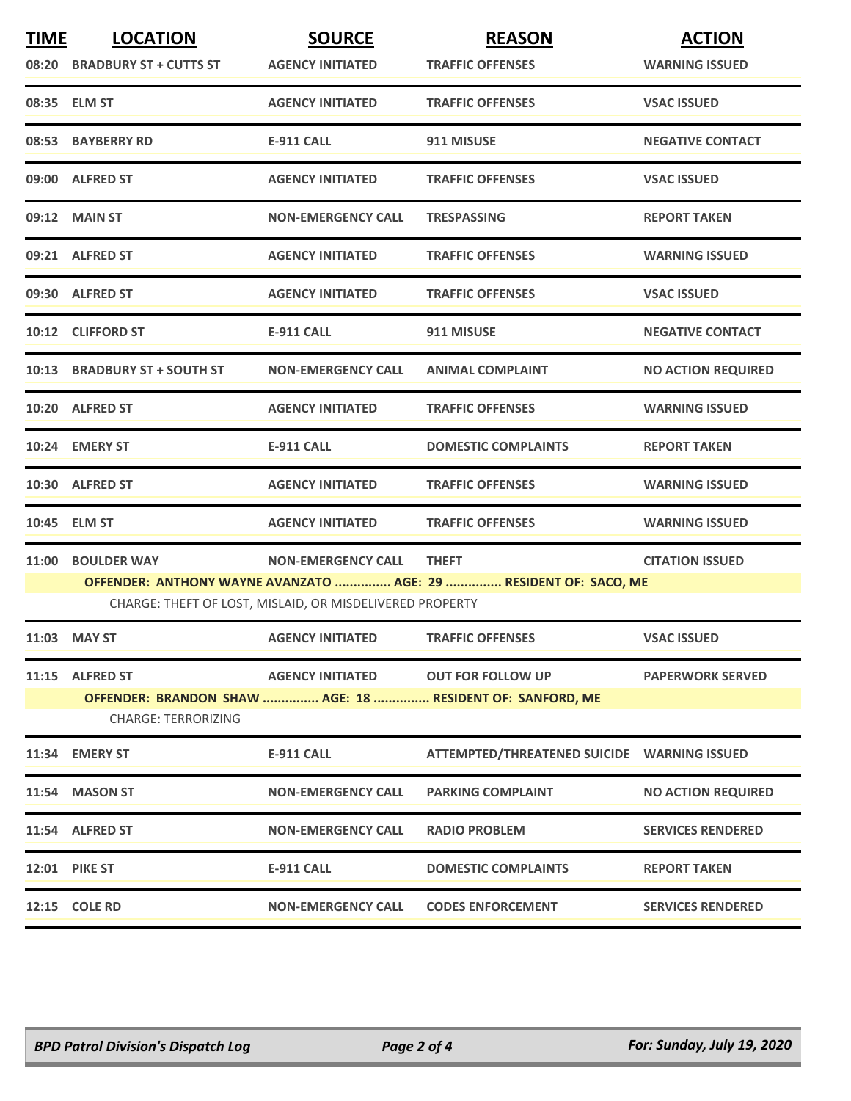| <b>TIME</b> | <b>LOCATION</b><br>08:20 BRADBURY ST + CUTTS ST                                                                              | <b>SOURCE</b><br><b>AGENCY INITIATED</b> | <b>REASON</b><br><b>TRAFFIC OFFENSES</b>                                              | <b>ACTION</b><br><b>WARNING ISSUED</b> |  |
|-------------|------------------------------------------------------------------------------------------------------------------------------|------------------------------------------|---------------------------------------------------------------------------------------|----------------------------------------|--|
|             | 08:35 ELM ST                                                                                                                 | <b>AGENCY INITIATED</b>                  | <b>TRAFFIC OFFENSES</b>                                                               | <b>VSAC ISSUED</b>                     |  |
|             | 08:53 BAYBERRY RD                                                                                                            | <b>E-911 CALL</b>                        | 911 MISUSE                                                                            | <b>NEGATIVE CONTACT</b>                |  |
|             | 09:00 ALFRED ST                                                                                                              | <b>AGENCY INITIATED</b>                  | <b>TRAFFIC OFFENSES</b>                                                               | <b>VSAC ISSUED</b>                     |  |
|             | 09:12 MAIN ST                                                                                                                | <b>NON-EMERGENCY CALL</b>                | <b>TRESPASSING</b>                                                                    | <b>REPORT TAKEN</b>                    |  |
|             | 09:21 ALFRED ST                                                                                                              | <b>AGENCY INITIATED</b>                  | <b>TRAFFIC OFFENSES</b>                                                               | <b>WARNING ISSUED</b>                  |  |
|             | 09:30 ALFRED ST                                                                                                              | <b>AGENCY INITIATED</b>                  | <b>TRAFFIC OFFENSES</b>                                                               | <b>VSAC ISSUED</b>                     |  |
|             | 10:12 CLIFFORD ST                                                                                                            | <b>E-911 CALL</b>                        | 911 MISUSE                                                                            | <b>NEGATIVE CONTACT</b>                |  |
|             | 10:13 BRADBURY ST + SOUTH ST                                                                                                 | <b>NON-EMERGENCY CALL</b>                | <b>ANIMAL COMPLAINT</b>                                                               | <b>NO ACTION REQUIRED</b>              |  |
|             | 10:20 ALFRED ST                                                                                                              | <b>AGENCY INITIATED</b>                  | <b>TRAFFIC OFFENSES</b>                                                               | <b>WARNING ISSUED</b>                  |  |
|             | 10:24 EMERY ST                                                                                                               | <b>E-911 CALL</b>                        | <b>DOMESTIC COMPLAINTS</b>                                                            | <b>REPORT TAKEN</b>                    |  |
|             | 10:30 ALFRED ST                                                                                                              | <b>AGENCY INITIATED</b>                  | <b>TRAFFIC OFFENSES</b>                                                               | <b>WARNING ISSUED</b>                  |  |
|             | 10:45 ELM ST                                                                                                                 | <b>AGENCY INITIATED</b>                  | <b>TRAFFIC OFFENSES</b>                                                               | <b>WARNING ISSUED</b>                  |  |
|             | 11:00 BOULDER WAY                                                                                                            | <b>NON-EMERGENCY CALL</b>                | <b>THEFT</b>                                                                          | <b>CITATION ISSUED</b>                 |  |
|             | OFFENDER: ANTHONY WAYNE AVANZATO  AGE: 29  RESIDENT OF: SACO, ME<br>CHARGE: THEFT OF LOST, MISLAID, OR MISDELIVERED PROPERTY |                                          |                                                                                       |                                        |  |
|             | 11:03 MAY ST                                                                                                                 | <b>AGENCY INITIATED</b>                  | <b>TRAFFIC OFFENSES</b>                                                               | <b>VSAC ISSUED</b>                     |  |
|             | 11:15 ALFRED ST                                                                                                              | <b>AGENCY INITIATED</b>                  | <b>OUT FOR FOLLOW UP</b><br>OFFENDER: BRANDON SHAW  AGE: 18  RESIDENT OF: SANFORD, ME | <b>PAPERWORK SERVED</b>                |  |
|             | <b>CHARGE: TERRORIZING</b>                                                                                                   |                                          |                                                                                       |                                        |  |
|             | 11:34 EMERY ST                                                                                                               | <b>E-911 CALL</b>                        | ATTEMPTED/THREATENED SUICIDE  WARNING ISSUED                                          |                                        |  |
|             | 11:54 MASON ST                                                                                                               | <b>NON-EMERGENCY CALL</b>                | <b>PARKING COMPLAINT</b>                                                              | <b>NO ACTION REQUIRED</b>              |  |
|             | 11:54 ALFRED ST                                                                                                              | <b>NON-EMERGENCY CALL</b>                | <b>RADIO PROBLEM</b>                                                                  | <b>SERVICES RENDERED</b>               |  |
|             | 12:01 PIKE ST                                                                                                                | E-911 CALL                               | <b>DOMESTIC COMPLAINTS</b>                                                            | <b>REPORT TAKEN</b>                    |  |
|             | 12:15 COLE RD                                                                                                                | <b>NON-EMERGENCY CALL</b>                | <b>CODES ENFORCEMENT</b>                                                              | <b>SERVICES RENDERED</b>               |  |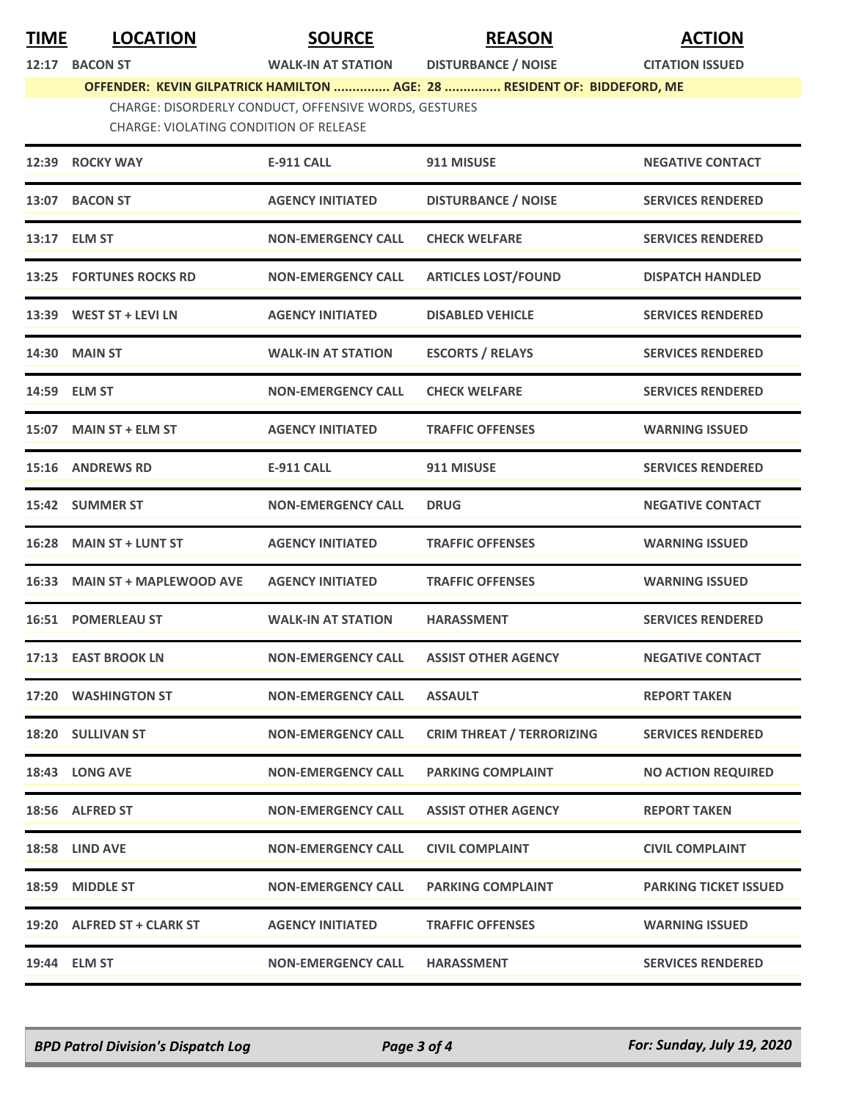**TIME LOCATION SOURCE REASON ACTION**

## **12:17 BACON ST WALK-IN AT STATION DISTURBANCE / NOISE CITATION ISSUED**

**OFFENDER: KEVIN GILPATRICK HAMILTON ............... AGE: 28 ............... RESIDENT OF: BIDDEFORD, ME**

## CHARGE: DISORDERLY CONDUCT, OFFENSIVE WORDS, GESTURES

CHARGE: VIOLATING CONDITION OF RELEASE

| 12:39 ROCKY WAY                | <b>E-911 CALL</b>         | 911 MISUSE                       | <b>NEGATIVE CONTACT</b>      |
|--------------------------------|---------------------------|----------------------------------|------------------------------|
| 13:07 BACON ST                 | <b>AGENCY INITIATED</b>   | <b>DISTURBANCE / NOISE</b>       | <b>SERVICES RENDERED</b>     |
| 13:17 ELM ST                   | <b>NON-EMERGENCY CALL</b> | <b>CHECK WELFARE</b>             | <b>SERVICES RENDERED</b>     |
| <b>13:25 FORTUNES ROCKS RD</b> | <b>NON-EMERGENCY CALL</b> | <b>ARTICLES LOST/FOUND</b>       | <b>DISPATCH HANDLED</b>      |
| 13:39 WEST ST + LEVI LN        | <b>AGENCY INITIATED</b>   | <b>DISABLED VEHICLE</b>          | <b>SERVICES RENDERED</b>     |
| 14:30 MAIN ST                  | <b>WALK-IN AT STATION</b> | <b>ESCORTS / RELAYS</b>          | <b>SERVICES RENDERED</b>     |
| 14:59 ELM ST                   | <b>NON-EMERGENCY CALL</b> | <b>CHECK WELFARE</b>             | <b>SERVICES RENDERED</b>     |
| 15:07 MAIN ST + ELM ST         | <b>AGENCY INITIATED</b>   | <b>TRAFFIC OFFENSES</b>          | <b>WARNING ISSUED</b>        |
| 15:16 ANDREWS RD               | <b>E-911 CALL</b>         | 911 MISUSE                       | <b>SERVICES RENDERED</b>     |
| 15:42 SUMMER ST                | <b>NON-EMERGENCY CALL</b> | <b>DRUG</b>                      | <b>NEGATIVE CONTACT</b>      |
| 16:28 MAIN ST + LUNT ST        | <b>AGENCY INITIATED</b>   | <b>TRAFFIC OFFENSES</b>          | <b>WARNING ISSUED</b>        |
| 16:33 MAIN ST + MAPLEWOOD AVE  | <b>AGENCY INITIATED</b>   | <b>TRAFFIC OFFENSES</b>          | <b>WARNING ISSUED</b>        |
| <b>16:51 POMERLEAU ST</b>      | <b>WALK-IN AT STATION</b> | <b>HARASSMENT</b>                | <b>SERVICES RENDERED</b>     |
| 17:13 EAST BROOK LN            | <b>NON-EMERGENCY CALL</b> | <b>ASSIST OTHER AGENCY</b>       | <b>NEGATIVE CONTACT</b>      |
| 17:20 WASHINGTON ST            | <b>NON-EMERGENCY CALL</b> | <b>ASSAULT</b>                   | <b>REPORT TAKEN</b>          |
| 18:20 SULLIVAN ST              | <b>NON-EMERGENCY CALL</b> | <b>CRIM THREAT / TERRORIZING</b> | <b>SERVICES RENDERED</b>     |
| 18:43 LONG AVE                 | <b>NON-EMERGENCY CALL</b> | <b>PARKING COMPLAINT</b>         | <b>NO ACTION REQUIRED</b>    |
| 18:56 ALFRED ST                | <b>NON-EMERGENCY CALL</b> | <b>ASSIST OTHER AGENCY</b>       | <b>REPORT TAKEN</b>          |
| 18:58 LIND AVE                 | <b>NON-EMERGENCY CALL</b> | <b>CIVIL COMPLAINT</b>           | <b>CIVIL COMPLAINT</b>       |
| 18:59 MIDDLE ST                | <b>NON-EMERGENCY CALL</b> | <b>PARKING COMPLAINT</b>         | <b>PARKING TICKET ISSUED</b> |
| 19:20 ALFRED ST + CLARK ST     | <b>AGENCY INITIATED</b>   | <b>TRAFFIC OFFENSES</b>          | <b>WARNING ISSUED</b>        |
| 19:44 ELM ST                   | <b>NON-EMERGENCY CALL</b> | <b>HARASSMENT</b>                | <b>SERVICES RENDERED</b>     |